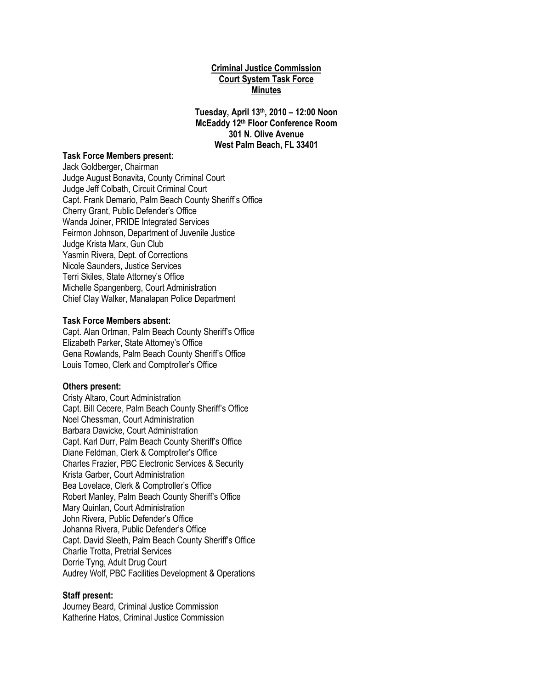# **Criminal Justice Commission Court System Task Force Minutes**

**Tuesday, April 13th, 2010 – 12:00 Noon McEaddy 12th Floor Conference Room 301 N. Olive Avenue West Palm Beach, FL 33401**

#### **Task Force Members present:**

Jack Goldberger, Chairman Judge August Bonavita, County Criminal Court Judge Jeff Colbath, Circuit Criminal Court Capt. Frank Demario, Palm Beach County Sheriff"s Office Cherry Grant, Public Defender"s Office Wanda Joiner, PRIDE Integrated Services Feirmon Johnson, Department of Juvenile Justice Judge Krista Marx, Gun Club Yasmin Rivera, Dept. of Corrections Nicole Saunders, Justice Services Terri Skiles, State Attorney"s Office Michelle Spangenberg, Court Administration Chief Clay Walker, Manalapan Police Department

#### **Task Force Members absent:**

Capt. Alan Ortman, Palm Beach County Sheriff's Office Elizabeth Parker, State Attorney"s Office Gena Rowlands, Palm Beach County Sheriff's Office Louis Tomeo, Clerk and Comptroller"s Office

#### **Others present:**

Cristy Altaro, Court Administration Capt. Bill Cecere, Palm Beach County Sheriff's Office Noel Chessman, Court Administration Barbara Dawicke, Court Administration Capt. Karl Durr, Palm Beach County Sheriff's Office Diane Feldman, Clerk & Comptroller"s Office Charles Frazier, PBC Electronic Services & Security Krista Garber, Court Administration Bea Lovelace, Clerk & Comptroller"s Office Robert Manley, Palm Beach County Sheriff"s Office Mary Quinlan, Court Administration John Rivera, Public Defender"s Office Johanna Rivera, Public Defender"s Office Capt. David Sleeth, Palm Beach County Sheriff's Office Charlie Trotta, Pretrial Services Dorrie Tyng, Adult Drug Court Audrey Wolf, PBC Facilities Development & Operations

#### **Staff present:**

Journey Beard, Criminal Justice Commission Katherine Hatos, Criminal Justice Commission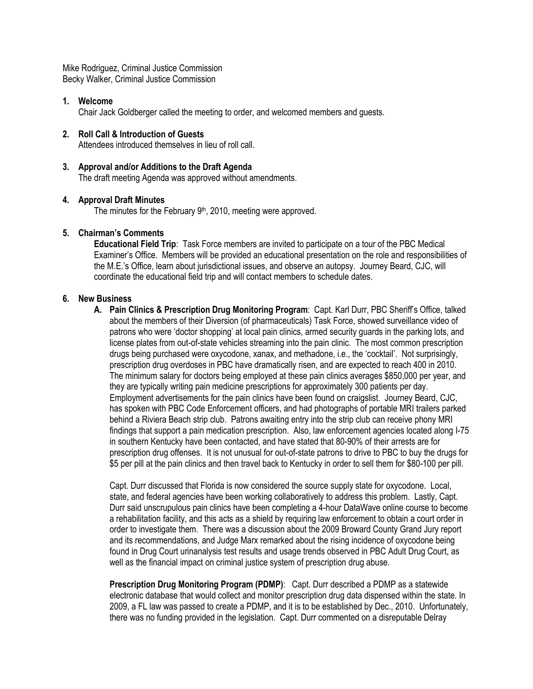Mike Rodriguez, Criminal Justice Commission Becky Walker, Criminal Justice Commission

# **1. Welcome**

Chair Jack Goldberger called the meeting to order, and welcomed members and guests.

# **2. Roll Call & Introduction of Guests**

Attendees introduced themselves in lieu of roll call.

# **3. Approval and/or Additions to the Draft Agenda**

The draft meeting Agenda was approved without amendments.

#### **4. Approval Draft Minutes**

The minutes for the February 9<sup>th</sup>, 2010, meeting were approved.

# **5. Chairman's Comments**

**Educational Field Trip**: Task Force members are invited to participate on a tour of the PBC Medical Examiner"s Office. Members will be provided an educational presentation on the role and responsibilities of the M.E."s Office, learn about jurisdictional issues, and observe an autopsy. Journey Beard, CJC, will coordinate the educational field trip and will contact members to schedule dates.

#### **6. New Business**

**A.** Pain Clinics & Prescription Drug Monitoring Program: Capt. Karl Durr, PBC Sheriff's Office, talked about the members of their Diversion (of pharmaceuticals) Task Force, showed surveillance video of patrons who were "doctor shopping" at local pain clinics, armed security guards in the parking lots, and license plates from out-of-state vehicles streaming into the pain clinic. The most common prescription drugs being purchased were oxycodone, xanax, and methadone, i.e., the "cocktail". Not surprisingly, prescription drug overdoses in PBC have dramatically risen, and are expected to reach 400 in 2010. The minimum salary for doctors being employed at these pain clinics averages \$850,000 per year, and they are typically writing pain medicine prescriptions for approximately 300 patients per day. Employment advertisements for the pain clinics have been found on craigslist. Journey Beard, CJC, has spoken with PBC Code Enforcement officers, and had photographs of portable MRI trailers parked behind a Riviera Beach strip club. Patrons awaiting entry into the strip club can receive phony MRI findings that support a pain medication prescription. Also, law enforcement agencies located along I-75 in southern Kentucky have been contacted, and have stated that 80-90% of their arrests are for prescription drug offenses. It is not unusual for out-of-state patrons to drive to PBC to buy the drugs for \$5 per pill at the pain clinics and then travel back to Kentucky in order to sell them for \$80-100 per pill.

Capt. Durr discussed that Florida is now considered the source supply state for oxycodone. Local, state, and federal agencies have been working collaboratively to address this problem. Lastly, Capt. Durr said unscrupulous pain clinics have been completing a 4-hour DataWave online course to become a rehabilitation facility, and this acts as a shield by requiring law enforcement to obtain a court order in order to investigate them. There was a discussion about the 2009 Broward County Grand Jury report and its recommendations, and Judge Marx remarked about the rising incidence of oxycodone being found in Drug Court urinanalysis test results and usage trends observed in PBC Adult Drug Court, as well as the financial impact on criminal justice system of prescription drug abuse.

**Prescription Drug Monitoring Program (PDMP)**: Capt. Durr described a PDMP as a statewide electronic database that would collect and monitor prescription drug data dispensed within the state. In 2009, a FL law was passed to create a PDMP, and it is to be established by Dec., 2010. Unfortunately, there was no funding provided in the legislation. Capt. Durr commented on a disreputable Delray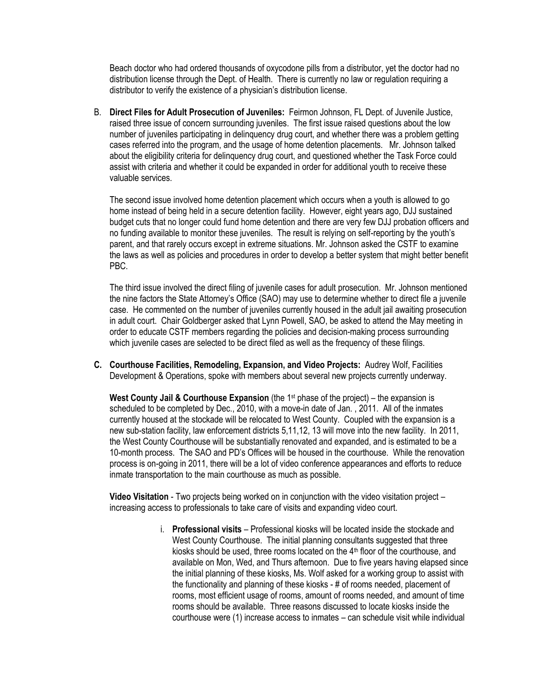Beach doctor who had ordered thousands of oxycodone pills from a distributor, yet the doctor had no distribution license through the Dept. of Health. There is currently no law or regulation requiring a distributor to verify the existence of a physician"s distribution license.

B. **Direct Files for Adult Prosecution of Juveniles:** Feirmon Johnson, FL Dept. of Juvenile Justice, raised three issue of concern surrounding juveniles. The first issue raised questions about the low number of juveniles participating in delinquency drug court, and whether there was a problem getting cases referred into the program, and the usage of home detention placements. Mr. Johnson talked about the eligibility criteria for delinquency drug court, and questioned whether the Task Force could assist with criteria and whether it could be expanded in order for additional youth to receive these valuable services.

The second issue involved home detention placement which occurs when a youth is allowed to go home instead of being held in a secure detention facility. However, eight years ago, DJJ sustained budget cuts that no longer could fund home detention and there are very few DJJ probation officers and no funding available to monitor these juveniles. The result is relying on self-reporting by the youth"s parent, and that rarely occurs except in extreme situations. Mr. Johnson asked the CSTF to examine the laws as well as policies and procedures in order to develop a better system that might better benefit PBC.

The third issue involved the direct filing of juvenile cases for adult prosecution. Mr. Johnson mentioned the nine factors the State Attorney"s Office (SAO) may use to determine whether to direct file a juvenile case. He commented on the number of juveniles currently housed in the adult jail awaiting prosecution in adult court. Chair Goldberger asked that Lynn Powell, SAO, be asked to attend the May meeting in order to educate CSTF members regarding the policies and decision-making process surrounding which juvenile cases are selected to be direct filed as well as the frequency of these filings.

**C. Courthouse Facilities, Remodeling, Expansion, and Video Projects:** Audrey Wolf, Facilities Development & Operations, spoke with members about several new projects currently underway.

West County Jail & Courthouse Expansion (the 1<sup>st</sup> phase of the project) – the expansion is scheduled to be completed by Dec., 2010, with a move-in date of Jan. , 2011. All of the inmates currently housed at the stockade will be relocated to West County. Coupled with the expansion is a new sub-station facility, law enforcement districts 5,11,12, 13 will move into the new facility. In 2011, the West County Courthouse will be substantially renovated and expanded, and is estimated to be a 10-month process. The SAO and PD"s Offices will be housed in the courthouse. While the renovation process is on-going in 2011, there will be a lot of video conference appearances and efforts to reduce inmate transportation to the main courthouse as much as possible.

**Video Visitation** - Two projects being worked on in conjunction with the video visitation project – increasing access to professionals to take care of visits and expanding video court.

> i. **Professional visits** – Professional kiosks will be located inside the stockade and West County Courthouse. The initial planning consultants suggested that three kiosks should be used, three rooms located on the 4<sup>th</sup> floor of the courthouse, and available on Mon, Wed, and Thurs afternoon. Due to five years having elapsed since the initial planning of these kiosks, Ms. Wolf asked for a working group to assist with the functionality and planning of these kiosks - # of rooms needed, placement of rooms, most efficient usage of rooms, amount of rooms needed, and amount of time rooms should be available. Three reasons discussed to locate kiosks inside the courthouse were (1) increase access to inmates – can schedule visit while individual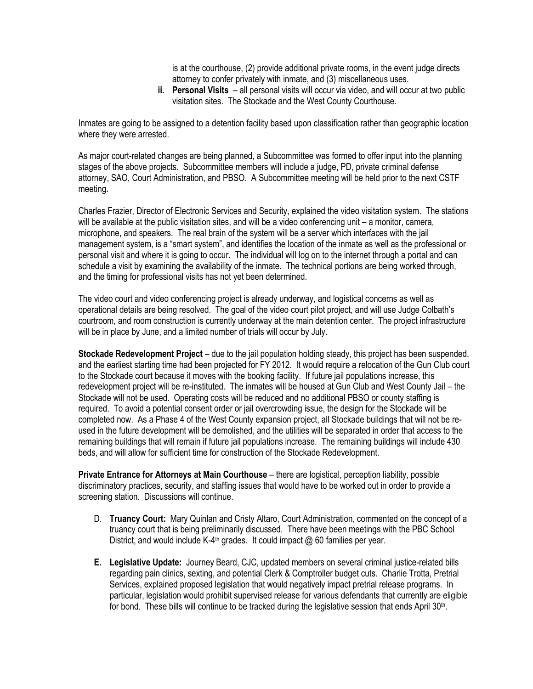is at the courthouse, (2) provide additional private rooms, in the event judge directs attorney to confer privately with inmate, and (3) miscellaneous uses.

**ii. Personal Visits** – all personal visits will occur via video, and will occur at two public visitation sites. The Stockade and the West County Courthouse.

Inmates are going to be assigned to a detention facility based upon classification rather than geographic location where they were arrested.

As major court-related changes are being planned, a Subcommittee was formed to offer input into the planning stages of the above projects. Subcommittee members will include a judge, PD, private criminal defense attorney, SAO, Court Administration, and PBSO. A Subcommittee meeting will be held prior to the next CSTF meeting.

Charles Frazier, Director of Electronic Services and Security, explained the video visitation system. The stations will be available at the public visitation sites, and will be a video conferencing unit – a monitor, camera, microphone, and speakers. The real brain of the system will be a server which interfaces with the jail management system, is a "smart system", and identifies the location of the inmate as well as the professional or personal visit and where it is going to occur. The individual will log on to the internet through a portal and can schedule a visit by examining the availability of the inmate. The technical portions are being worked through, and the timing for professional visits has not yet been determined.

The video court and video conferencing project is already underway, and logistical concerns as well as operational details are being resolved. The goal of the video court pilot project, and will use Judge Colbath"s courtroom, and room construction is currently underway at the main detention center. The project infrastructure will be in place by June, and a limited number of trials will occur by July.

**Stockade Redevelopment Project** – due to the jail population holding steady, this project has been suspended, and the earliest starting time had been projected for FY 2012. It would require a relocation of the Gun Club court to the Stockade court because it moves with the booking facility. If future jail populations increase, this redevelopment project will be re-instituted. The inmates will be housed at Gun Club and West County Jail – the Stockade will not be used. Operating costs will be reduced and no additional PBSO or county staffing is required. To avoid a potential consent order or jail overcrowding issue, the design for the Stockade will be completed now. As a Phase 4 of the West County expansion project, all Stockade buildings that will not be reused in the future development will be demolished, and the utilities will be separated in order that access to the remaining buildings that will remain if future jail populations increase. The remaining buildings will include 430 beds, and will allow for sufficient time for construction of the Stockade Redevelopment.

**Private Entrance for Attorneys at Main Courthouse** – there are logistical, perception liability, possible discriminatory practices, security, and staffing issues that would have to be worked out in order to provide a screening station. Discussions will continue.

- D. **Truancy Court:** Mary Quinlan and Cristy Altaro, Court Administration, commented on the concept of a truancy court that is being preliminarily discussed. There have been meetings with the PBC School District, and would include K-4<sup>th</sup> grades. It could impact @ 60 families per year.
- **E. Legislative Update:** Journey Beard, CJC, updated members on several criminal justice-related bills regarding pain clinics, sexting, and potential Clerk & Comptroller budget cuts. Charlie Trotta, Pretrial Services, explained proposed legislation that would negatively impact pretrial release programs. In particular, legislation would prohibit supervised release for various defendants that currently are eligible for bond. These bills will continue to be tracked during the legislative session that ends April 30<sup>th</sup>.